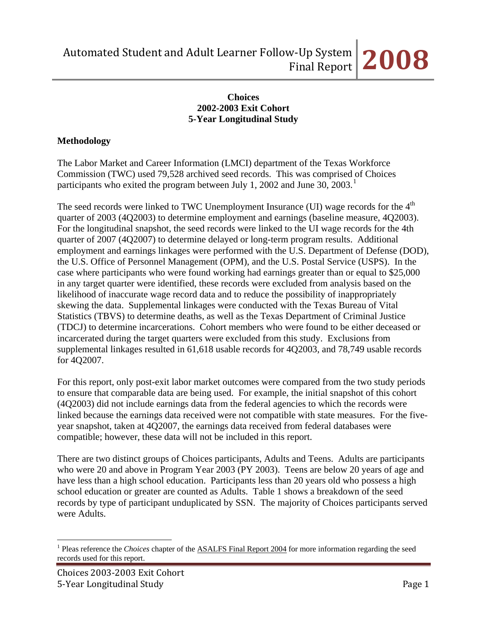#### **Choices 2002-2003 Exit Cohort 5-Year Longitudinal Study**

## **Methodology**

The Labor Market and Career Information (LMCI) department of the Texas Workforce Commission (TWC) used 79,528 archived seed records. This was comprised of Choices participants who exited the program between July [1](#page-0-0), 2002 and June 30, 2003.<sup>1</sup>

The seed records were linked to TWC Unemployment Insurance (UI) wage records for the  $4<sup>th</sup>$ quarter of 2003 (4Q2003) to determine employment and earnings (baseline measure, 4Q2003). For the longitudinal snapshot, the seed records were linked to the UI wage records for the 4th quarter of 2007 (4Q2007) to determine delayed or long-term program results. Additional employment and earnings linkages were performed with the U.S. Department of Defense (DOD), the U.S. Office of Personnel Management (OPM), and the U.S. Postal Service (USPS). In the case where participants who were found working had earnings greater than or equal to \$25,000 in any target quarter were identified, these records were excluded from analysis based on the likelihood of inaccurate wage record data and to reduce the possibility of inappropriately skewing the data. Supplemental linkages were conducted with the Texas Bureau of Vital Statistics (TBVS) to determine deaths, as well as the Texas Department of Criminal Justice (TDCJ) to determine incarcerations. Cohort members who were found to be either deceased or incarcerated during the target quarters were excluded from this study. Exclusions from supplemental linkages resulted in 61,618 usable records for 4Q2003, and 78,749 usable records for 4Q2007.

For this report, only post-exit labor market outcomes were compared from the two study periods to ensure that comparable data are being used. For example, the initial snapshot of this cohort (4Q2003) did not include earnings data from the federal agencies to which the records were linked because the earnings data received were not compatible with state measures. For the fiveyear snapshot, taken at 4Q2007, the earnings data received from federal databases were compatible; however, these data will not be included in this report.

There are two distinct groups of Choices participants, Adults and Teens. Adults are participants who were 20 and above in Program Year 2003 (PY 2003). Teens are below 20 years of age and have less than a high school education. Participants less than 20 years old who possess a high school education or greater are counted as Adults. Table 1 shows a breakdown of the seed records by type of participant unduplicated by SSN. The majority of Choices participants served were Adults.

 $\overline{a}$ 

<span id="page-0-0"></span><sup>&</sup>lt;sup>1</sup> Pleas reference the *Choices* chapter of the **ASALFS** Final Report 2004 for more information regarding the seed records used for this report.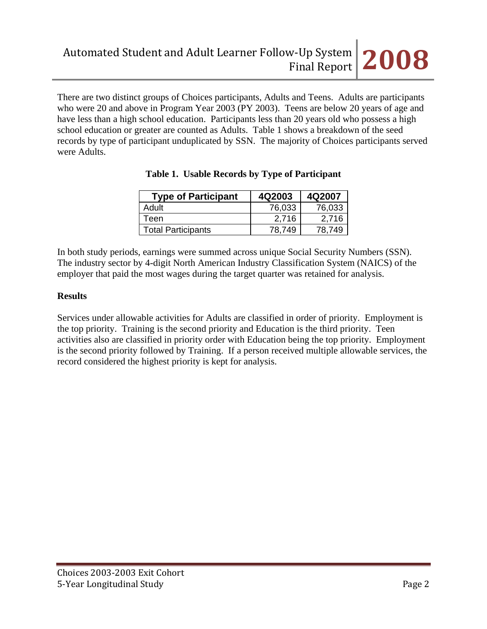There are two distinct groups of Choices participants, Adults and Teens. Adults are participants who were 20 and above in Program Year 2003 (PY 2003). Teens are below 20 years of age and have less than a high school education. Participants less than 20 years old who possess a high school education or greater are counted as Adults. Table 1 shows a breakdown of the seed records by type of participant unduplicated by SSN. The majority of Choices participants served were Adults.

| <b>Type of Participant</b> | 4Q2003 | 4Q2007 |
|----------------------------|--------|--------|
| Adult                      | 76,033 | 76,033 |
| Teen                       | 2.716  | 2.716  |
| <b>Total Participants</b>  | 78.749 | 78.749 |

|  |  | Table 1. Usable Records by Type of Participant |
|--|--|------------------------------------------------|
|  |  |                                                |

In both study periods, earnings were summed across unique Social Security Numbers (SSN). The industry sector by 4-digit North American Industry Classification System (NAICS) of the employer that paid the most wages during the target quarter was retained for analysis.

# **Results**

Services under allowable activities for Adults are classified in order of priority. Employment is the top priority. Training is the second priority and Education is the third priority. Teen activities also are classified in priority order with Education being the top priority. Employment is the second priority followed by Training. If a person received multiple allowable services, the record considered the highest priority is kept for analysis.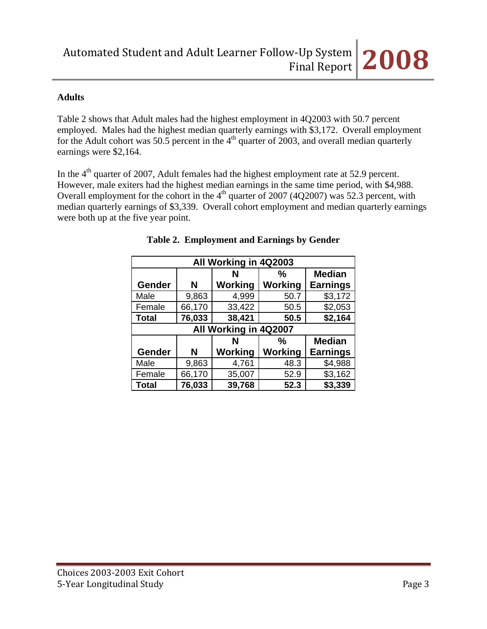# **Adults**

Table 2 shows that Adult males had the highest employment in 4Q2003 with 50.7 percent employed. Males had the highest median quarterly earnings with \$3,172. Overall employment for the Adult cohort was 50.5 percent in the  $4<sup>th</sup>$  quarter of 2003, and overall median quarterly earnings were \$2,164.

In the  $4<sup>th</sup>$  quarter of 2007, Adult females had the highest employment rate at 52.9 percent. However, male exiters had the highest median earnings in the same time period, with \$4,988. Overall employment for the cohort in the  $4<sup>th</sup>$  quarter of 2007 (4Q2007) was 52.3 percent, with median quarterly earnings of \$3,339. Overall cohort employment and median quarterly earnings were both up at the five year point.

|              | All Working in 4Q2003 |                       |         |                 |  |  |
|--------------|-----------------------|-----------------------|---------|-----------------|--|--|
|              |                       | N                     | %       | <b>Median</b>   |  |  |
| Gender       | N                     | Working               | Working | <b>Earnings</b> |  |  |
| Male         | 9,863                 | 4,999                 | 50.7    | \$3,172         |  |  |
| Female       | 66,170                | 33,422                | 50.5    | \$2,053         |  |  |
| <b>Total</b> | 76,033                | 38,421                | 50.5    | \$2,164         |  |  |
|              |                       | All Working in 4Q2007 |         |                 |  |  |
|              |                       | N                     | ℅       | <b>Median</b>   |  |  |
| Gender       | N                     | Working               | Working | <b>Earnings</b> |  |  |
| Male         | 9,863                 | 4,761                 | 48.3    | \$4,988         |  |  |
| Female       | 66,170                | 35,007                | 52.9    | \$3,162         |  |  |
| <b>Total</b> | 76,033                | 39,768                | 52.3    | \$3,339         |  |  |

# **Table 2. Employment and Earnings by Gender**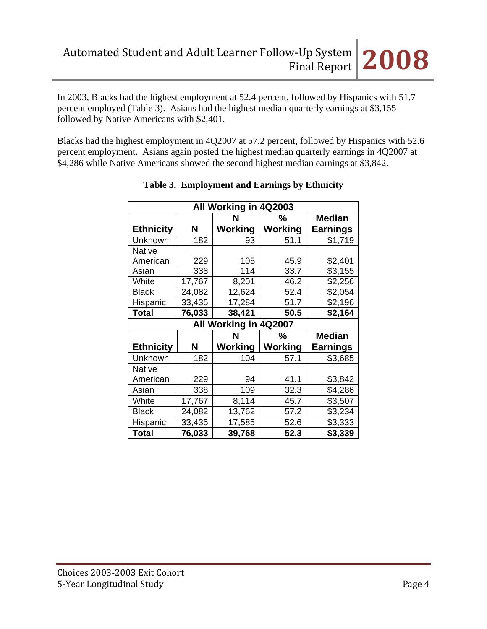In 2003, Blacks had the highest employment at 52.4 percent, followed by Hispanics with 51.7 percent employed (Table 3). Asians had the highest median quarterly earnings at \$3,155 followed by Native Americans with \$2,401.

Blacks had the highest employment in 4Q2007 at 57.2 percent, followed by Hispanics with 52.6 percent employment. Asians again posted the highest median quarterly earnings in 4Q2007 at \$4,286 while Native Americans showed the second highest median earnings at \$3,842.

| All Working in 4Q2003 |        |                       |                |                 |  |
|-----------------------|--------|-----------------------|----------------|-----------------|--|
|                       |        | N                     | ℅              | <b>Median</b>   |  |
| <b>Ethnicity</b>      | N      | <b>Working</b>        | Working        | <b>Earnings</b> |  |
| Unknown               | 182    | 93                    | 51.1           | \$1,719         |  |
| <b>Native</b>         |        |                       |                |                 |  |
| American              | 229    | 105                   | 45.9           | \$2,401         |  |
| Asian                 | 338    | 114                   | 33.7           | \$3,155         |  |
| White                 | 17,767 | 8,201                 | 46.2           | \$2,256         |  |
| <b>Black</b>          | 24,082 | 12,624                | 52.4           | \$2,054         |  |
| Hispanic              | 33,435 | 17,284                | 51.7           | \$2,196         |  |
| <b>Total</b>          | 76,033 | 38,421                | 50.5           | \$2,164         |  |
|                       |        | All Working in 4Q2007 |                |                 |  |
|                       |        | N                     | %              | <b>Median</b>   |  |
| <b>Ethnicity</b>      | N      | Working               | <b>Working</b> | <b>Earnings</b> |  |
| Unknown               | 182    | 104                   | 57.1           | \$3,685         |  |
| <b>Native</b>         |        |                       |                |                 |  |
| American              | 229    | 94                    | 41.1           | \$3,842         |  |
| Asian                 | 338    | 109                   | 32.3           | \$4,286         |  |
| White                 | 17,767 | 8,114                 | 45.7           | \$3,507         |  |
| <b>Black</b>          | 24,082 | 13,762                | 57.2           | \$3,234         |  |
|                       |        |                       |                |                 |  |
| Hispanic              | 33,435 | 17,585                | 52.6           | \$3,333         |  |

#### **Table 3. Employment and Earnings by Ethnicity**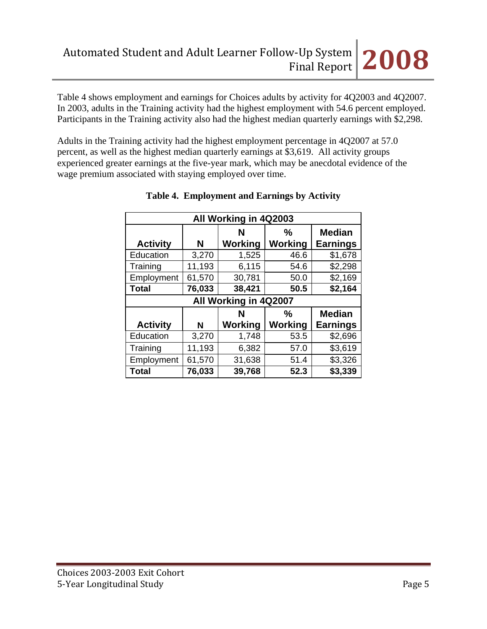Table 4 shows employment and earnings for Choices adults by activity for 4Q2003 and 4Q2007. In 2003, adults in the Training activity had the highest employment with 54.6 percent employed. Participants in the Training activity also had the highest median quarterly earnings with \$2,298.

Adults in the Training activity had the highest employment percentage in 4Q2007 at 57.0 percent, as well as the highest median quarterly earnings at \$3,619. All activity groups experienced greater earnings at the five-year mark, which may be anecdotal evidence of the wage premium associated with staying employed over time.

| All Working in 4Q2003 |        |              |                     |                                  |  |  |  |
|-----------------------|--------|--------------|---------------------|----------------------------------|--|--|--|
| <b>Activity</b>       | N      | N<br>Working | ℅<br><b>Working</b> | <b>Median</b><br><b>Earnings</b> |  |  |  |
| Education             | 3,270  | 1,525        | 46.6                | \$1,678                          |  |  |  |
| Training              | 11,193 | 6,115        | 54.6                | \$2,298                          |  |  |  |
| Employment            | 61,570 | 30,781       | 50.0                | \$2,169                          |  |  |  |
| <b>Total</b>          | 76,033 | 38,421       | 50.5                | \$2,164                          |  |  |  |
| All Working in 4Q2007 |        |              |                     |                                  |  |  |  |
|                       |        |              |                     |                                  |  |  |  |
|                       |        | N            | $\%$                | <b>Median</b>                    |  |  |  |
| <b>Activity</b>       | N      | Working      | <b>Working</b>      | <b>Earnings</b>                  |  |  |  |
| Education             | 3,270  | 1,748        | 53.5                | \$2,696                          |  |  |  |
| Training              | 11,193 | 6,382        | 57.0                | \$3,619                          |  |  |  |
| Employment            | 61,570 | 31,638       | 51.4                | \$3,326                          |  |  |  |

# **Table 4. Employment and Earnings by Activity**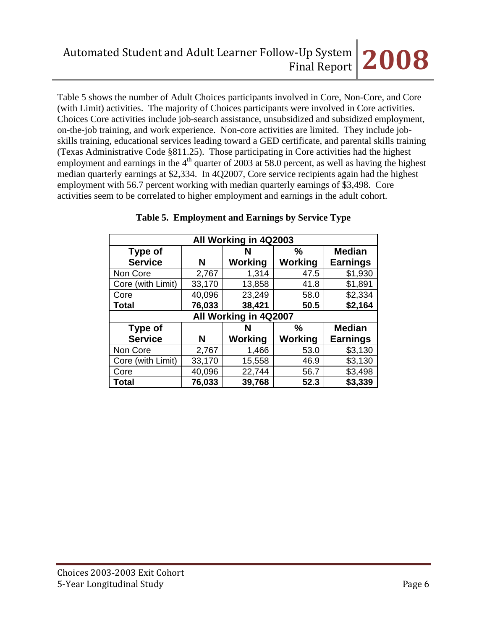Table 5 shows the number of Adult Choices participants involved in Core, Non-Core, and Core (with Limit) activities. The majority of Choices participants were involved in Core activities. Choices Core activities include job-search assistance, unsubsidized and subsidized employment, on-the-job training, and work experience. Non-core activities are limited. They include jobskills training, educational services leading toward a GED certificate, and parental skills training (Texas Administrative Code §811.25). Those participating in Core activities had the highest employment and earnings in the  $4<sup>th</sup>$  quarter of 2003 at 58.0 percent, as well as having the highest median quarterly earnings at \$2,334. In 4Q2007, Core service recipients again had the highest employment with 56.7 percent working with median quarterly earnings of \$3,498. Core activities seem to be correlated to higher employment and earnings in the adult cohort.

| All Working in 4Q2003 |        |                       |                |                 |  |  |
|-----------------------|--------|-----------------------|----------------|-----------------|--|--|
| Type of               |        | N                     | $\frac{0}{0}$  | <b>Median</b>   |  |  |
| <b>Service</b>        | N      | Working               | Working        | <b>Earnings</b> |  |  |
| Non Core              | 2,767  | 1,314                 | 47.5           | \$1,930         |  |  |
| Core (with Limit)     | 33,170 | 13,858                | 41.8           | \$1,891         |  |  |
| Core                  | 40,096 | 23,249                | 58.0           | \$2,334         |  |  |
| <b>Total</b>          | 76,033 | 38,421                | 50.5           | \$2,164         |  |  |
|                       |        | All Working in 4Q2007 |                |                 |  |  |
| <b>Type of</b>        |        | N                     | $\frac{0}{0}$  | <b>Median</b>   |  |  |
| <b>Service</b>        | N      | <b>Working</b>        | <b>Working</b> | <b>Earnings</b> |  |  |
| Non Core              | 2,767  | 1,466                 | 53.0           | \$3,130         |  |  |
| Core (with Limit)     | 33,170 | 15,558                | 46.9           | \$3,130         |  |  |
| Core                  | 40,096 | 22,744                | 56.7           | \$3,498         |  |  |
| <b>Total</b>          | 76,033 | 39,768                | 52.3           | \$3,339         |  |  |

#### **Table 5. Employment and Earnings by Service Type**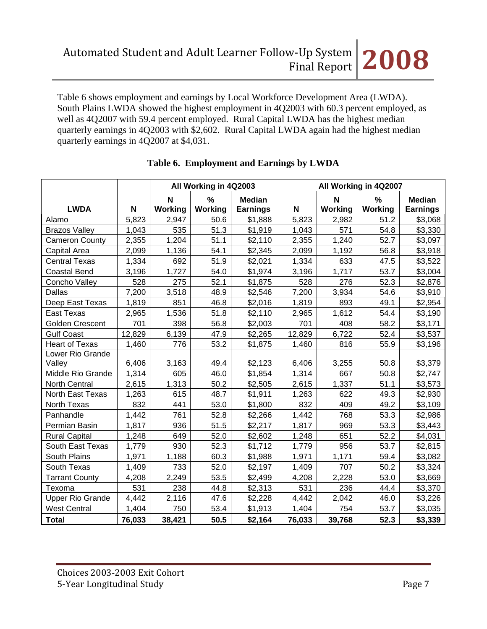Table 6 shows employment and earnings by Local Workforce Development Area (LWDA). South Plains LWDA showed the highest employment in 4Q2003 with 60.3 percent employed, as well as 4Q2007 with 59.4 percent employed. Rural Capital LWDA has the highest median quarterly earnings in 4Q2003 with \$2,602. Rural Capital LWDA again had the highest median quarterly earnings in 4Q2007 at \$4,031.

|                            |        | All Working in 4Q2003 |                          | All Working in 4Q2007            |                           |                     |                          |                           |
|----------------------------|--------|-----------------------|--------------------------|----------------------------------|---------------------------|---------------------|--------------------------|---------------------------|
| <b>LWDA</b>                | N      | N<br>Working          | $\frac{0}{0}$<br>Working | <b>Median</b><br><b>Earnings</b> | $\boldsymbol{\mathsf{N}}$ | N<br><b>Working</b> | $\frac{9}{6}$<br>Working | <b>Median</b><br>Earnings |
| Alamo                      | 5,823  | 2,947                 | 50.6                     | \$1,888                          | 5,823                     | 2,982               | 51.2                     | \$3,068                   |
| <b>Brazos Valley</b>       | 1,043  | 535                   | 51.3                     | \$1,919                          | 1,043                     | 571                 | 54.8                     | \$3,330                   |
| <b>Cameron County</b>      | 2,355  | 1,204                 | 51.1                     | \$2,110                          | 2,355                     | 1,240               | 52.7                     | \$3,097                   |
| Capital Area               | 2,099  | 1,136                 | 54.1                     | \$2,345                          | 2,099                     | 1,192               | 56.8                     | \$3,918                   |
| Central Texas              | 1,334  | 692                   | 51.9                     | \$2,021                          | 1,334                     | 633                 | 47.5                     | \$3,522                   |
| <b>Coastal Bend</b>        | 3,196  | 1,727                 | 54.0                     | \$1,974                          | 3,196                     | 1,717               | 53.7                     | \$3,004                   |
| Concho Valley              | 528    | 275                   | 52.1                     | \$1,875                          | 528                       | 276                 | 52.3                     | \$2,876                   |
| <b>Dallas</b>              | 7,200  | 3,518                 | 48.9                     | \$2,546                          | 7,200                     | 3,934               | 54.6                     | \$3,910                   |
| Deep East Texas            | 1,819  | 851                   | 46.8                     | \$2,016                          | 1,819                     | 893                 | 49.1                     | \$2,954                   |
| <b>East Texas</b>          | 2,965  | 1,536                 | 51.8                     | \$2,110                          | 2,965                     | 1,612               | 54.4                     | \$3,190                   |
| Golden Crescent            | 701    | 398                   | 56.8                     | \$2,003                          | 701                       | 408                 | 58.2                     | \$3,171                   |
| <b>Gulf Coast</b>          | 12,829 | 6,139                 | 47.9                     | \$2,265                          | 12,829                    | 6,722               | 52.4                     | \$3,537                   |
| <b>Heart of Texas</b>      | 1,460  | 776                   | 53.2                     | \$1,875                          | 1,460                     | 816                 | 55.9                     | \$3,196                   |
| Lower Rio Grande<br>Valley | 6,406  | 3,163                 | 49.4                     | \$2,123                          | 6,406                     | 3,255               | 50.8                     | \$3,379                   |
| Middle Rio Grande          | 1,314  | 605                   | 46.0                     | \$1,854                          | 1,314                     | 667                 | 50.8                     | \$2,747                   |
| North Central              | 2,615  | 1,313                 | 50.2                     | \$2,505                          | 2,615                     | 1,337               | 51.1                     | \$3,573                   |
| North East Texas           | 1,263  | 615                   | 48.7                     | \$1,911                          | 1,263                     | 622                 | 49.3                     | \$2,930                   |
| <b>North Texas</b>         | 832    | 441                   | 53.0                     | \$1,800                          | 832                       | 409                 | 49.2                     | \$3,109                   |
| Panhandle                  | 1,442  | 761                   | 52.8                     | \$2,266                          | 1,442                     | 768                 | 53.3                     | \$2,986                   |
| Permian Basin              | 1,817  | 936                   | 51.5                     | \$2,217                          | 1,817                     | 969                 | 53.3                     | \$3,443                   |
| <b>Rural Capital</b>       | 1,248  | 649                   | 52.0                     | \$2,602                          | 1,248                     | 651                 | 52.2                     | \$4,031                   |
| South East Texas           | 1,779  | 930                   | 52.3                     | \$1,712                          | 1,779                     | 956                 | 53.7                     | \$2,815                   |
| <b>South Plains</b>        | 1,971  | 1,188                 | 60.3                     | \$1,988                          | 1,971                     | 1,171               | 59.4                     | \$3,082                   |
| South Texas                | 1,409  | 733                   | 52.0                     | \$2,197                          | 1,409                     | 707                 | 50.2                     | \$3,324                   |
| <b>Tarrant County</b>      | 4,208  | 2,249                 | 53.5                     | \$2,499                          | 4,208                     | 2,228               | 53.0                     | \$3,669                   |
| Texoma                     | 531    | 238                   | 44.8                     | \$2,313                          | 531                       | 236                 | 44.4                     | \$3,370                   |
| <b>Upper Rio Grande</b>    | 4,442  | 2,116                 | 47.6                     | \$2,228                          | 4,442                     | 2,042               | 46.0                     | \$3,226                   |
| <b>West Central</b>        | 1,404  | 750                   | 53.4                     | \$1,913                          | 1,404                     | 754                 | 53.7                     | \$3,035                   |
| <b>Total</b>               | 76,033 | 38,421                | 50.5                     | \$2,164                          | 76,033                    | 39,768              | 52.3                     | \$3,339                   |

# **Table 6. Employment and Earnings by LWDA**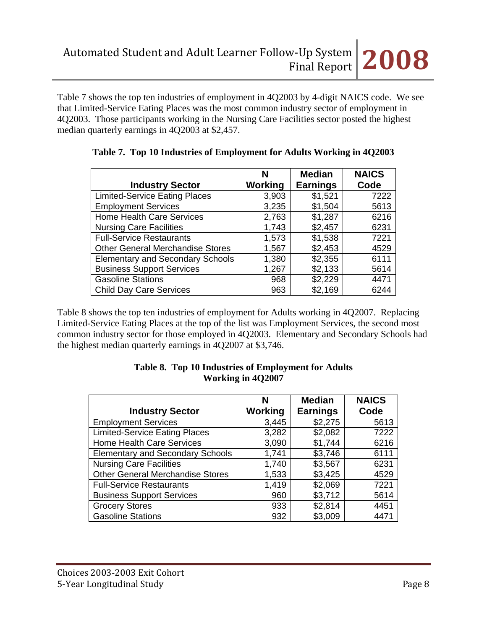Table 7 shows the top ten industries of employment in 4Q2003 by 4-digit NAICS code. We see that Limited-Service Eating Places was the most common industry sector of employment in 4Q2003. Those participants working in the Nursing Care Facilities sector posted the highest median quarterly earnings in 4Q2003 at \$2,457.

|                                         | N       | <b>Median</b>   | <b>NAICS</b> |
|-----------------------------------------|---------|-----------------|--------------|
| <b>Industry Sector</b>                  | Working | <b>Earnings</b> | Code         |
| <b>Limited-Service Eating Places</b>    | 3,903   | \$1,521         | 7222         |
| <b>Employment Services</b>              | 3,235   | \$1,504         | 5613         |
| <b>Home Health Care Services</b>        | 2,763   | \$1,287         | 6216         |
| <b>Nursing Care Facilities</b>          | 1,743   | \$2,457         | 6231         |
| <b>Full-Service Restaurants</b>         | 1,573   | \$1,538         | 7221         |
| <b>Other General Merchandise Stores</b> | 1,567   | \$2,453         | 4529         |
| <b>Elementary and Secondary Schools</b> | 1,380   | \$2,355         | 6111         |
| <b>Business Support Services</b>        | 1,267   | \$2,133         | 5614         |
| <b>Gasoline Stations</b>                | 968     | \$2,229         | 4471         |
| <b>Child Day Care Services</b>          | 963     | \$2,169         | 6244         |

|  |  | Table 7. Top 10 Industries of Employment for Adults Working in 4Q2003 |  |  |  |  |  |
|--|--|-----------------------------------------------------------------------|--|--|--|--|--|
|--|--|-----------------------------------------------------------------------|--|--|--|--|--|

Table 8 shows the top ten industries of employment for Adults working in 4Q2007. Replacing Limited-Service Eating Places at the top of the list was Employment Services, the second most common industry sector for those employed in 4Q2003. Elementary and Secondary Schools had the highest median quarterly earnings in 4Q2007 at \$3,746.

|                                         | N              | <b>Median</b>   | <b>NAICS</b> |
|-----------------------------------------|----------------|-----------------|--------------|
| <b>Industry Sector</b>                  | <b>Working</b> | <b>Earnings</b> | Code         |
| <b>Employment Services</b>              | 3,445          | \$2,275         | 5613         |
| <b>Limited-Service Eating Places</b>    | 3,282          | \$2,082         | 7222         |
| <b>Home Health Care Services</b>        | 3,090          | \$1,744         | 6216         |
| <b>Elementary and Secondary Schools</b> | 1,741          | \$3,746         | 6111         |
| <b>Nursing Care Facilities</b>          | 1,740          | \$3,567         | 6231         |
| <b>Other General Merchandise Stores</b> | 1,533          | \$3,425         | 4529         |
| <b>Full-Service Restaurants</b>         | 1,419          | \$2,069         | 7221         |
| <b>Business Support Services</b>        | 960            | \$3,712         | 5614         |
| <b>Grocery Stores</b>                   | 933            | \$2,814         | 4451         |
| <b>Gasoline Stations</b>                | 932            | \$3,009         | 4471         |

#### **Table 8. Top 10 Industries of Employment for Adults Working in 4Q2007**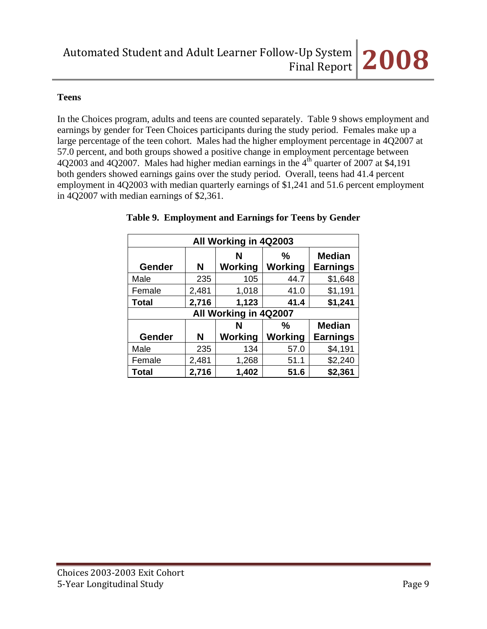# **Teens**

In the Choices program, adults and teens are counted separately. Table 9 shows employment and earnings by gender for Teen Choices participants during the study period. Females make up a large percentage of the teen cohort. Males had the higher employment percentage in 4Q2007 at 57.0 percent, and both groups showed a positive change in employment percentage between 4Q2003 and 4Q2007. Males had higher median earnings in the  $4<sup>th</sup>$  quarter of 2007 at \$4,191 both genders showed earnings gains over the study period. Overall, teens had 41.4 percent employment in 4Q2003 with median quarterly earnings of \$1,241 and 51.6 percent employment in 4Q2007 with median earnings of \$2,361.

| All Working in 4Q2003 |       |                       |              |                                  |  |
|-----------------------|-------|-----------------------|--------------|----------------------------------|--|
| <b>Gender</b>         | N     | N<br>Working          | ℅<br>Working | <b>Median</b><br><b>Earnings</b> |  |
| Male                  | 235   | 105                   | 44.7         | \$1,648                          |  |
| Female                | 2,481 | 1,018                 | 41.0         | \$1,191                          |  |
| <b>Total</b>          | 2,716 | 1,123                 | 41.4         | \$1,241                          |  |
|                       |       | All Working in 4Q2007 |              |                                  |  |
|                       |       | N                     | ℅            | <b>Median</b>                    |  |
| Gender                | N     | Working               | Working      | <b>Earnings</b>                  |  |
| Male                  | 235   | 134                   | 57.0         | \$4,191                          |  |
| Female                | 2,481 | 1,268                 | 51.1         | \$2,240                          |  |
| <b>Total</b>          | 2,716 | 1,402                 | 51.6         | \$2,361                          |  |

# **Table 9. Employment and Earnings for Teens by Gender**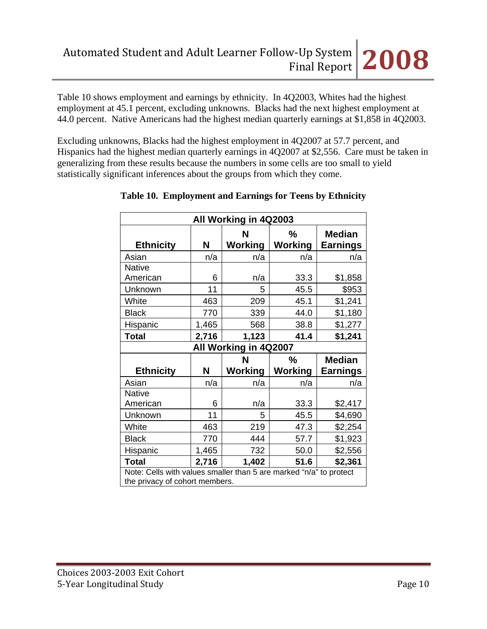Table 10 shows employment and earnings by ethnicity. In 4Q2003, Whites had the highest employment at 45.1 percent, excluding unknowns. Blacks had the next highest employment at 44.0 percent. Native Americans had the highest median quarterly earnings at \$1,858 in 4Q2003.

Excluding unknowns, Blacks had the highest employment in 4Q2007 at 57.7 percent, and Hispanics had the highest median quarterly earnings in 4Q2007 at \$2,556. Care must be taken in generalizing from these results because the numbers in some cells are too small to yield statistically significant inferences about the groups from which they come.

| All Working in 4Q2003                                                                                |       |                       |                |                 |  |  |  |
|------------------------------------------------------------------------------------------------------|-------|-----------------------|----------------|-----------------|--|--|--|
|                                                                                                      |       | N                     | %              | <b>Median</b>   |  |  |  |
| <b>Ethnicity</b>                                                                                     | Ν     | Working               | Working        | <b>Earnings</b> |  |  |  |
| Asian                                                                                                | n/a   | n/a                   | n/a            | n/a             |  |  |  |
| <b>Native</b>                                                                                        |       |                       |                |                 |  |  |  |
| American                                                                                             | 6     | n/a                   | 33.3           | \$1,858         |  |  |  |
| Unknown                                                                                              | 11    | 5                     | 45.5           | \$953           |  |  |  |
| White                                                                                                | 463   | 209                   | 45.1           | \$1,241         |  |  |  |
| <b>Black</b>                                                                                         | 770   | 339                   | 44.0           | \$1,180         |  |  |  |
| Hispanic                                                                                             | 1,465 | 568                   | 38.8           | \$1,277         |  |  |  |
| 41.4<br>\$1,241<br><b>Total</b><br>1,123<br>2,716                                                    |       |                       |                |                 |  |  |  |
|                                                                                                      |       | All Working in 4Q2007 |                |                 |  |  |  |
|                                                                                                      |       | N                     | $\frac{0}{0}$  | <b>Median</b>   |  |  |  |
| <b>Ethnicity</b>                                                                                     | N     | <b>Working</b>        | <b>Working</b> | <b>Earnings</b> |  |  |  |
|                                                                                                      |       |                       |                |                 |  |  |  |
| Asian                                                                                                | n/a   | n/a                   | n/a            | n/a             |  |  |  |
| <b>Native</b>                                                                                        |       |                       |                |                 |  |  |  |
| American                                                                                             | 6     | n/a                   | 33.3           | \$2,417         |  |  |  |
| Unknown                                                                                              | 11    | 5                     | 45.5           | \$4,690         |  |  |  |
| White                                                                                                | 463   | 219                   | 47.3           | \$2,254         |  |  |  |
| <b>Black</b>                                                                                         | 770   | 444                   | 57.7           | \$1,923         |  |  |  |
| Hispanic                                                                                             | 1,465 | 732                   | 50.0           | \$2,556         |  |  |  |
| <b>Total</b>                                                                                         | 2,716 | 1,402                 | 51.6           | \$2,361         |  |  |  |
| Note: Cells with values smaller than 5 are marked "n/a" to protect<br>the privacy of cohort members. |       |                       |                |                 |  |  |  |

**Table 10. Employment and Earnings for Teens by Ethnicity**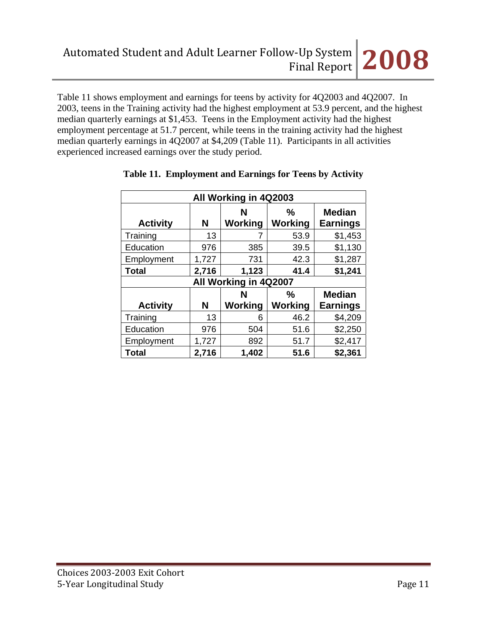Table 11 shows employment and earnings for teens by activity for 4Q2003 and 4Q2007. In 2003, teens in the Training activity had the highest employment at 53.9 percent, and the highest median quarterly earnings at \$1,453. Teens in the Employment activity had the highest employment percentage at 51.7 percent, while teens in the training activity had the highest median quarterly earnings in 4Q2007 at \$4,209 (Table 11). Participants in all activities experienced increased earnings over the study period.

| All Working in 4Q2003               |                                               |         |                |          |  |  |  |  |
|-------------------------------------|-----------------------------------------------|---------|----------------|----------|--|--|--|--|
| <b>Activity</b>                     | $\frac{9}{6}$<br>N<br>Working<br>N<br>Working |         |                |          |  |  |  |  |
| Training                            | 13                                            |         | 53.9           | \$1,453  |  |  |  |  |
| Education                           | 976                                           | 385     | 39.5           | \$1,130  |  |  |  |  |
| Employment                          | 1,727                                         | 731     | 42.3           | \$1,287  |  |  |  |  |
| <b>Total</b>                        | 2,716                                         | 1,123   | 41.4           | \$1,241  |  |  |  |  |
| All Working in 4Q2007               |                                               |         |                |          |  |  |  |  |
| <b>Median</b><br>$\frac{0}{0}$<br>N |                                               |         |                |          |  |  |  |  |
| <b>Activity</b>                     | N                                             | Working | <b>Working</b> | Earnings |  |  |  |  |
| Training                            | 13                                            | 6       | 46.2           | \$4,209  |  |  |  |  |
| Education                           | 976                                           | 504     | 51.6           | \$2,250  |  |  |  |  |
| Employment                          | 1,727                                         | 892     | 51.7           | \$2,417  |  |  |  |  |
| <b>Total</b>                        | 2,716                                         | 1,402   | 51.6           | \$2,361  |  |  |  |  |

# **Table 11. Employment and Earnings for Teens by Activity**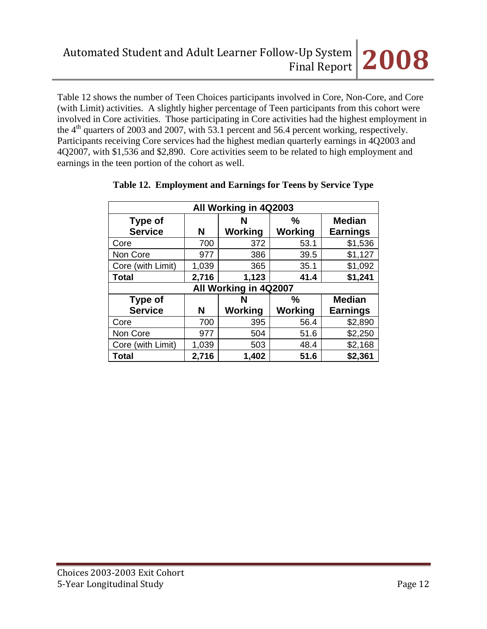Table 12 shows the number of Teen Choices participants involved in Core, Non-Core, and Core (with Limit) activities. A slightly higher percentage of Teen participants from this cohort were involved in Core activities. Those participating in Core activities had the highest employment in the 4<sup>th</sup> quarters of 2003 and 2007, with 53.1 percent and 56.4 percent working, respectively. Participants receiving Core services had the highest median quarterly earnings in 4Q2003 and 4Q2007, with \$1,536 and \$2,890. Core activities seem to be related to high employment and earnings in the teen portion of the cohort as well.

| All Working in 4Q2003                                 |       |         |                |                 |  |  |  |  |
|-------------------------------------------------------|-------|---------|----------------|-----------------|--|--|--|--|
| <b>Type of</b>                                        |       | N       | $\%$           | <b>Median</b>   |  |  |  |  |
| <b>Service</b>                                        | N     | Working | <b>Working</b> | <b>Earnings</b> |  |  |  |  |
| Core                                                  | 700   | 372     | 53.1           | \$1,536         |  |  |  |  |
| Non Core                                              | 977   | 386     | 39.5           | \$1,127         |  |  |  |  |
| Core (with Limit)                                     | 1,039 | 365     | 35.1           | \$1,092         |  |  |  |  |
| <b>Total</b>                                          | 2,716 | 1,123   | 41.4           | \$1,241         |  |  |  |  |
| All Working in 4Q2007                                 |       |         |                |                 |  |  |  |  |
| <b>Median</b><br><b>Type of</b><br>$\frac{0}{0}$<br>N |       |         |                |                 |  |  |  |  |
| <b>Service</b>                                        | N     | Working | <b>Working</b> | <b>Earnings</b> |  |  |  |  |
| Core                                                  | 700   | 395     | 56.4           | \$2,890         |  |  |  |  |
| Non Core                                              | 977   | 504     | 51.6           | \$2,250         |  |  |  |  |
| Core (with Limit)                                     | 1,039 | 503     | 48.4           | \$2,168         |  |  |  |  |
| <b>Total</b>                                          | 2,716 | 1,402   | 51.6           | \$2,361         |  |  |  |  |

# **Table 12. Employment and Earnings for Teens by Service Type**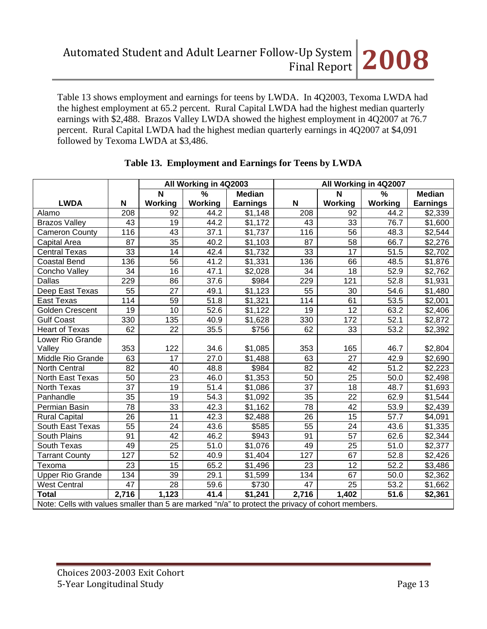Table 13 shows employment and earnings for teens by LWDA. In 4Q2003, Texoma LWDA had the highest employment at 65.2 percent. Rural Capital LWDA had the highest median quarterly earnings with \$2,488. Brazos Valley LWDA showed the highest employment in 4Q2007 at 76.7 percent. Rural Capital LWDA had the highest median quarterly earnings in 4Q2007 at \$4,091 followed by Texoma LWDA at \$3,486.

|                                                                                                   |                 | All Working in 4Q2003 |         | All Working in 4Q2007 |                 |                 |                   |                 |
|---------------------------------------------------------------------------------------------------|-----------------|-----------------------|---------|-----------------------|-----------------|-----------------|-------------------|-----------------|
|                                                                                                   |                 | N                     | $\%$    | <b>Median</b>         |                 | N               | %                 | <b>Median</b>   |
| <b>LWDA</b>                                                                                       | N               | Working               | Working | <b>Earnings</b>       | N               | Working         | Working           | <b>Earnings</b> |
| Alamo                                                                                             | 208             | 92                    | 44.2    | \$1,148               | 208             | 92              | 44.2              | \$2,339         |
| <b>Brazos Valley</b>                                                                              | 43              | 19                    | 44.2    | \$1,172               | 43              | 33              | 76.7              | \$1,600         |
| <b>Cameron County</b>                                                                             | 116             | 43                    | 37.1    | \$1,737               | 116             | 56              | 48.3              | \$2,544         |
| Capital Area                                                                                      | $\overline{87}$ | $\overline{35}$       | 40.2    | \$1,103               | $\overline{87}$ | $\overline{58}$ | 66.7              | \$2,276         |
| <b>Central Texas</b>                                                                              | 33              | 14                    | 42.4    | \$1,732               | 33              | 17              | 51.5              | \$2,702         |
| <b>Coastal Bend</b>                                                                               | 136             | 56                    | 41.2    | \$1,331               | 136             | 66              | 48.5              | \$1,876         |
| Concho Valley                                                                                     | 34              | $\overline{16}$       | 47.1    | \$2,028               | 34              | $\overline{18}$ | 52.9              | \$2,762         |
| <b>Dallas</b>                                                                                     | 229             | 86                    | 37.6    | \$984                 | 229             | 121             | 52.8              | \$1,931         |
| Deep East Texas                                                                                   | 55              | 27                    | 49.1    | \$1,123               | 55              | 30              | 54.6              | \$1,480         |
| East Texas                                                                                        | 114             | 59                    | 51.8    | \$1,321               | 114             | 61              | 53.5              | \$2,001         |
| <b>Golden Crescent</b>                                                                            | 19              | 10                    | 52.6    | \$1,122               | 19              | 12              | 63.2              | \$2,406         |
| <b>Gulf Coast</b>                                                                                 | 330             | 135                   | 40.9    | \$1,628               | 330             | 172             | 52.1              | \$2,872         |
| <b>Heart of Texas</b>                                                                             | 62              | 22                    | 35.5    | \$756                 | 62              | 33              | 53.2              | \$2,392         |
| Lower Rio Grande                                                                                  |                 |                       |         |                       |                 |                 |                   |                 |
| Valley                                                                                            | 353             | 122                   | 34.6    | \$1,085               | 353             | 165             | 46.7              | \$2,804         |
| Middle Rio Grande                                                                                 | 63              | 17                    | 27.0    | \$1,488               | 63              | 27              | 42.9              | \$2,690         |
| North Central                                                                                     | 82              | 40                    | 48.8    | \$984                 | 82              | 42              | 51.2              | \$2,223         |
| North East Texas                                                                                  | 50              | 23                    | 46.0    | \$1,353               | 50              | 25              | 50.0              | \$2,498         |
| North Texas                                                                                       | 37              | 19                    | 51.4    | \$1,086               | 37              | 18              | 48.7              | \$1,693         |
| Panhandle                                                                                         | 35              | 19                    | 54.3    | \$1,092               | 35              | 22              | 62.9              | \$1,544         |
| Permian Basin                                                                                     | 78              | 33                    | 42.3    | \$1,162               | 78              | 42              | 53.9              | \$2,439         |
| <b>Rural Capital</b>                                                                              | 26              | 11                    | 42.3    | \$2,488               | $\overline{26}$ | 15              | $\overline{57.7}$ | \$4,091         |
| South East Texas                                                                                  | 55              | 24                    | 43.6    | \$585                 | 55              | 24              | 43.6              | \$1,335         |
| South Plains                                                                                      | 91              | 42                    | 46.2    | \$943                 | 91              | 57              | 62.6              | \$2,344         |
| South Texas                                                                                       | 49              | $\overline{25}$       | 51.0    | \$1,076               | 49              | $\overline{25}$ | 51.0              | \$2,377         |
| <b>Tarrant County</b>                                                                             | 127             | 52                    | 40.9    | \$1,404               | 127             | 67              | 52.8              | \$2,426         |
| Texoma                                                                                            | 23              | $1\overline{5}$       | 65.2    | \$1,496               | 23              | $\overline{12}$ | 52.2              | \$3,486         |
| <b>Upper Rio Grande</b>                                                                           | 134             | $\overline{39}$       | 29.1    | \$1,599               | 134             | 67              | 50.0              | \$2,362         |
| <b>West Central</b>                                                                               | 47              | 28                    | 59.6    | \$730                 | 47              | 25              | 53.2              | \$1,662         |
| <b>Total</b>                                                                                      | 2,716           | 1,123                 | 41.4    | \$1,241               | 2,716           | 1,402           | 51.6              | \$2,361         |
| Note: Cells with values smaller than 5 are marked "n/a" to protect the privacy of cohort members. |                 |                       |         |                       |                 |                 |                   |                 |

# **Table 13. Employment and Earnings for Teens by LWDA**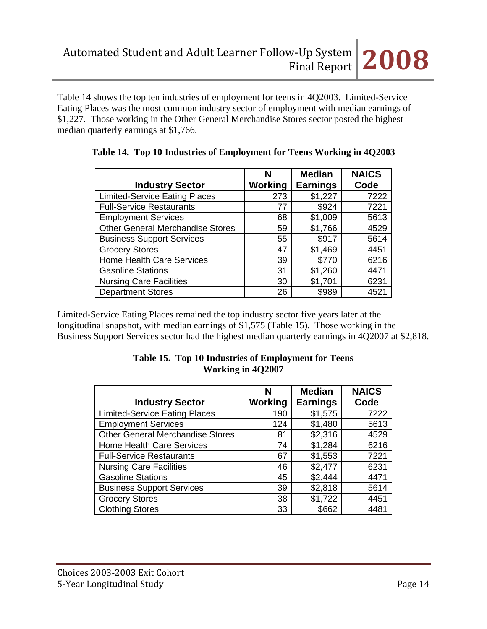Table 14 shows the top ten industries of employment for teens in 4Q2003. Limited-Service Eating Places was the most common industry sector of employment with median earnings of \$1,227. Those working in the Other General Merchandise Stores sector posted the highest median quarterly earnings at \$1,766.

| <b>Industry Sector</b>                  | N<br>Working | <b>Median</b><br><b>Earnings</b> | <b>NAICS</b><br>Code |
|-----------------------------------------|--------------|----------------------------------|----------------------|
| <b>Limited-Service Eating Places</b>    | 273          | \$1,227                          | 7222                 |
| <b>Full-Service Restaurants</b>         | 77           | \$924                            | 7221                 |
| <b>Employment Services</b>              | 68           | \$1,009                          | 5613                 |
| <b>Other General Merchandise Stores</b> | 59           | \$1,766                          | 4529                 |
| <b>Business Support Services</b>        | 55           | \$917                            | 5614                 |
| <b>Grocery Stores</b>                   | 47           | \$1,469                          | 4451                 |
| Home Health Care Services               | 39           | \$770                            | 6216                 |
| <b>Gasoline Stations</b>                | 31           | \$1,260                          | 4471                 |
| <b>Nursing Care Facilities</b>          | 30           | \$1,701                          | 6231                 |
| <b>Department Stores</b>                | 26           | \$989                            | 4521                 |

|  |  |  |  | Table 14. Top 10 Industries of Employment for Teens Working in 4Q2003 |  |  |  |
|--|--|--|--|-----------------------------------------------------------------------|--|--|--|
|--|--|--|--|-----------------------------------------------------------------------|--|--|--|

Limited-Service Eating Places remained the top industry sector five years later at the longitudinal snapshot, with median earnings of \$1,575 (Table 15). Those working in the Business Support Services sector had the highest median quarterly earnings in 4Q2007 at \$2,818.

| <b>Industry Sector</b>                  | N<br>Working | <b>Median</b><br><b>Earnings</b> | <b>NAICS</b><br>Code |
|-----------------------------------------|--------------|----------------------------------|----------------------|
| <b>Limited-Service Eating Places</b>    | 190          | \$1,575                          | 7222                 |
| <b>Employment Services</b>              | 124          | \$1,480                          | 5613                 |
| <b>Other General Merchandise Stores</b> | 81           | \$2,316                          | 4529                 |
| <b>Home Health Care Services</b>        | 74           | \$1,284                          | 6216                 |
| <b>Full-Service Restaurants</b>         | 67           | \$1,553                          | 7221                 |
| <b>Nursing Care Facilities</b>          | 46           | \$2,477                          | 6231                 |
| <b>Gasoline Stations</b>                | 45           | \$2,444                          | 4471                 |
| <b>Business Support Services</b>        | 39           | \$2,818                          | 5614                 |
| <b>Grocery Stores</b>                   | 38           | \$1,722                          | 4451                 |
| <b>Clothing Stores</b>                  | 33           | \$662                            | 4481                 |

#### **Table 15. Top 10 Industries of Employment for Teens Working in 4Q2007**